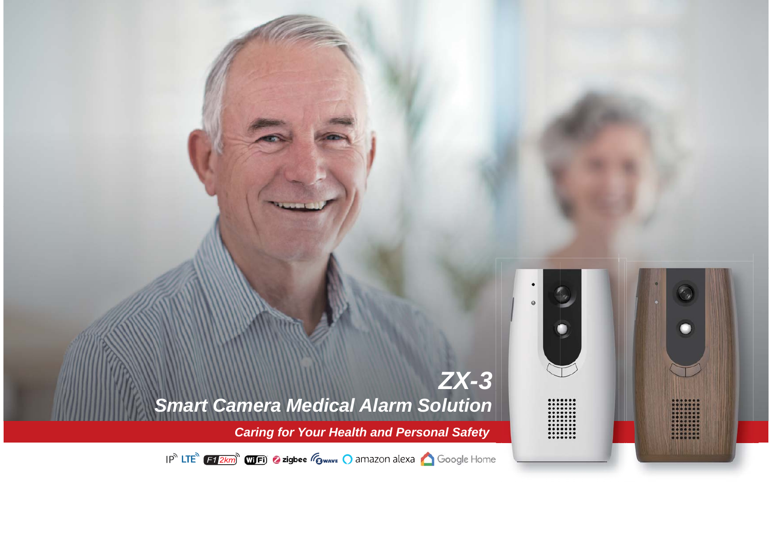

*Caring for Your Health and Personal Safety*

:::::::

IP<sup>N</sup> LTE<sup>N</sup> (F1 2km<sup>)</sup> WIFI) 2 zigbee (O wave Q amazon alexa Q Google Home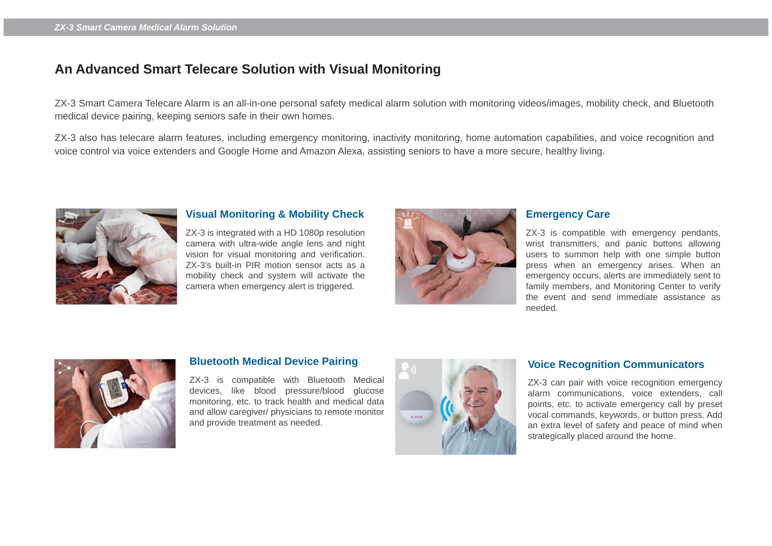# **An Advanced Smart Telecare Solution with Visual Monitoring**

ZX-3 Smart Camera Telecare Alarm is an all-in-one personal safety medical alarm solution with monitoring videos/images, mobility check, and Bluetooth medical device pairing, keeping seniors safe in their own homes.

.ZX-3 also has telecare alarm features, including emergency monitoring, inactivity monitoring, home automation capabilities, and voice recognition and voice control via voice extenders and Google Home and Amazon Alexa, assisting seniors to have a more secure, healthy living.



## **Visual Monitoring & Mobility Check**

ZX-3 is integrated with a HD 1080p resolution camera with ultra-wide angle lens and night vision for visual monitoring and verification. ZX-3's built-in PIR motion sensor acts as a mobility check and system will activate the camera when emergency alert is triggered.



# **Emergency Care**

ZX-3 is compatible with emergency pendants, wrist transmitters, and panic buttons allowing users to summon help with one simple button press when an emergency arises. When an emergency occurs, alerts are immediately sent to family members, and Monitoring Center to verify the event and send immediate assistance as needed.



#### **Bluetooth Medical Device Pairing**

ZX-3 is compatible with Bluetooth Medical devices, like blood pressure/blood glucose monitoring, etc. to track health and medical data and allow caregiver/ physicians to remote monitor and provide treatment as needed.



#### **Voice Recognition Communicators**

ZX-3 can pair with voice recognition emergency alarm communications, voice extenders, call points, etc. to activate emergency call by preset vocal commands, keywords, or button press. Add an extra level of safety and peace of mind when strategically placed around the home.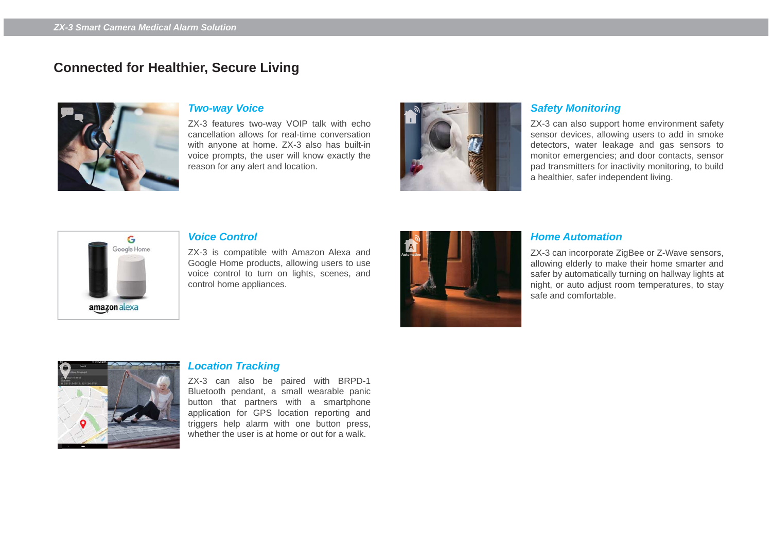# **Connected for Healthier, Secure Living**



## *Two-way Voice*

ZX-3 features two-way VOIP talk with echo cancellation allows for real-time conversation with anyone at home. ZX-3 also has built-in voice prompts, the user will know exactly the reason for any alert and location.



## *Safety Monitoring*

ZX-3 can also support home environment safety sensor devices, allowing users to add in smoke detectors, water leakage and gas sensors to monitor emergencies; and door contacts, sensor pad transmitters for inactivity monitoring, to build a healthier, safer independent living.



#### *Voice Control*

ZX-3 is compatible with Amazon Alexa and Google Home products, allowing users to use voice control to turn on lights, scenes, and control home appliances.



#### *Home Automation*

ZX-3 can incorporate ZigBee or Z-Wave sensors, allowing elderly to make their home smarter and safer by automatically turning on hallway lights at night, or auto adjust room temperatures, to stay safe and comfortable.



#### *Location Tracking*

ZX-3 can also be paired with BRPD-1 Bluetooth pendant, a small wearable panic button that partners with a smartphone application for GPS location reporting and triggers help alarm with one button press, whether the user is at home or out for a walk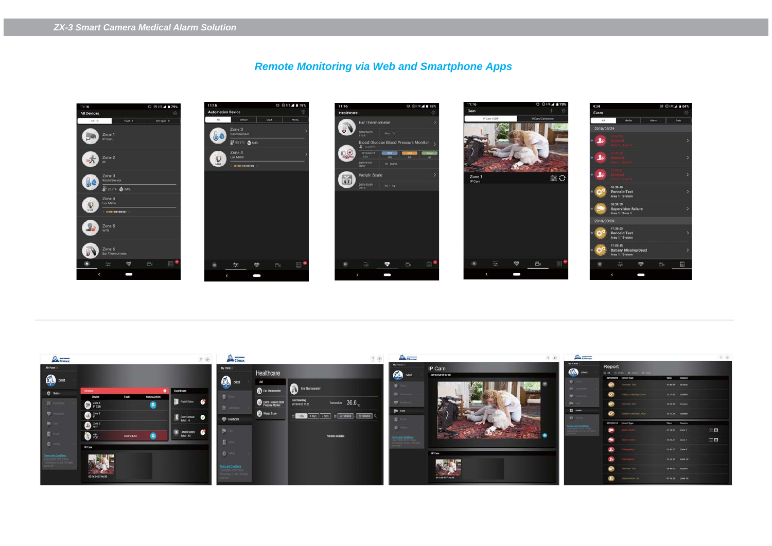# *Remote Monitoring via Web and Smartphone Apps*